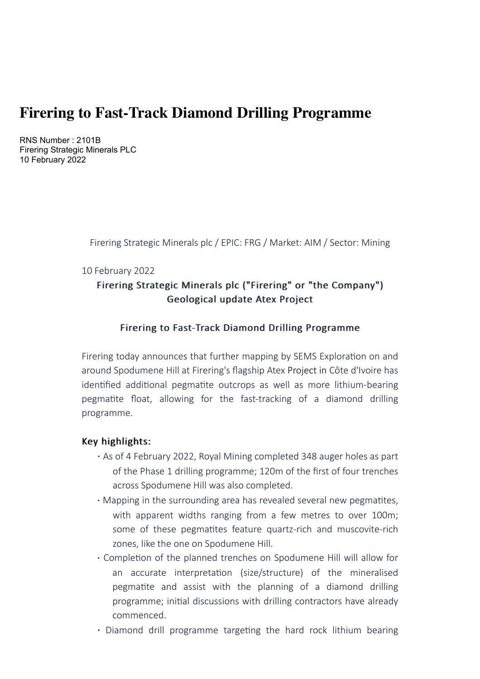# **Firering to Fast-Track Diamond Drilling Programme**

RNS Number : 2101B Firering Strategic Minerals PLC 10 February 2022

Firering Strategic Minerals plc / EPIC: FRG / Market: AIM / Sector: Mining

#### 10 February 2022

# Firering Strategic Minerals plc ("Firering" or "the Company") Geological update Atex Project

## Firering to Fast-Track Diamond Drilling Programme

Firering today announces that further mapping by SEMS Exploration on and around Spodumene Hill at Firering's flagship Atex Project in Côte d'Ivoire has identified additional pegmatite outcrops as well as more lithium-bearing pegmatite float, allowing for the fast-tracking of a diamond drilling programme.

### Key highlights:

- · As of 4 February 2022, Royal Mining completed 348 auger holes as part of the Phase 1 drilling programme; 120m of the first of four trenches across Spodumene Hill was also completed.
- Mapping in the surrounding area has revealed several new pegmatites, with apparent widths ranging from a few metres to over 100m; some of these pegmatites feature quartz-rich and muscovite-rich zones, like the one on Spodumene Hill.
- Completion of the planned trenches on Spodumene Hill will allow for an accurate interpretation (size/structure) of the mineralised pegmatite and assist with the planning of a diamond drilling programme; initial discussions with drilling contractors have already commenced.
- · Diamond drill programme targeting the hard rock lithium bearing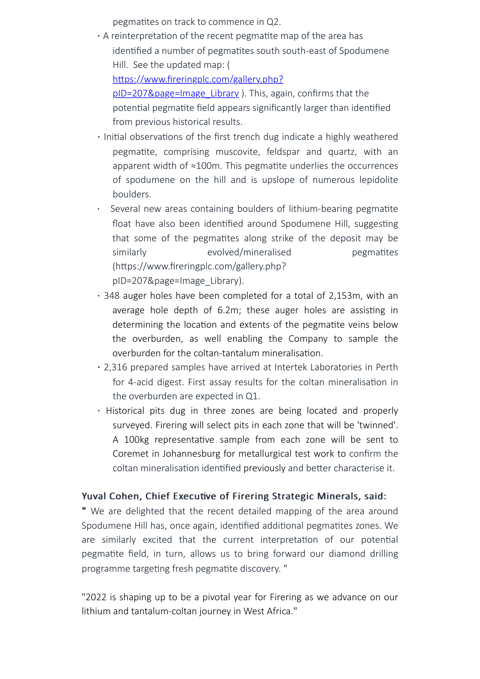pegmatites on track to commence in Q2.

- $\cdot$  A reinterpretation of the recent pegmatite map of the area has identified a number of pegmatites south south-east of Spodumene Hill. See the updated map: ( https://www.fireringplc.com/gallery.php? pID=207&page=Image\_Library ). This, again, confirms that the potential pegmatite field appears significantly larger than identified from previous historical results.
- · Initial observations of the first trench dug indicate a highly weathered pegmatite, comprising muscovite, feldspar and quartz, with an apparent width of  $\approx 100$ m. This pegmatite underlies the occurrences of spodumene on the hill and is upslope of numerous lepidolite boulders.
- Several new areas containing boulders of lithium-bearing pegmatite float have also been identified around Spodumene Hill, suggesting that some of the pegmatites along strike of the deposit may be similarly evolved/mineralised pegmatites (https://www.fireringplc.com/gallery.php? pID=207&page=Image\_Library).
- · 348 auger holes have been completed for a total of 2,153m, with an average hole depth of 6.2m; these auger holes are assisting in determining the location and extents of the pegmatite veins below the overburden, as well enabling the Company to sample the overburden for the coltan-tantalum mineralisation.
- · 2,316 prepared samples have arrived at Intertek Laboratories in Perth for 4-acid digest. First assay results for the coltan mineralisation in the overburden are expected in Q1.
- · Historical pits dug in three zones are being located and properly surveyed. Firering will select pits in each zone that will be 'twinned'. A 100kg representative sample from each zone will be sent to Coremet in Johannesburg for metallurgical test work to confirm the coltan mineralisation identified previously and better characterise it.

## Yuval Cohen, Chief Executive of Firering Strategic Minerals, said:

" We are delighted that the recent detailed mapping of the area around Spodumene Hill has, once again, identified additional pegmatites zones. We are similarly excited that the current interpretation of our potential pegmatite field, in turn, allows us to bring forward our diamond drilling programme targeting fresh pegmatite discovery. "

"2022 is shaping up to be a pivotal year for Firering as we advance on our lithium and tantalum-coltan journey in West Africa."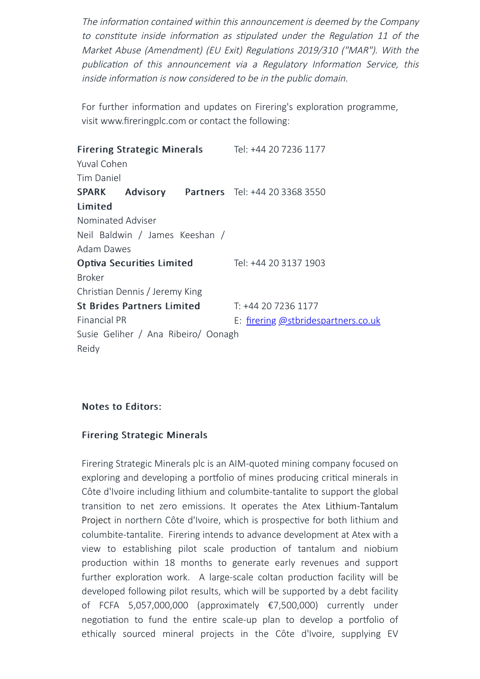The information contained within this announcement is deemed by the Company to constitute inside information as stipulated under the Regulation 11 of the Market Abuse (Amendment) (EU Exit) Regulations 2019/310 ("MAR"). With the publication of this announcement via a Regulatory Information Service, this inside information is now considered to be in the public domain.

For further information and updates on Firering's exploration programme, visit www.fireringplc.com or contact the following:

Firering Strategic Minerals Yuval Cohen Tim Daniel Tel: +44 20 7236 1177 SPARK Advisory Limited Nominated Adviser Neil Baldwin / James Keeshan / Adam Dawes **Partners** Tel: +44 20 3368 3550 Optiva Securities Limited Broker Christian Dennis / Jeremy King Tel: +44 20 3137 1903 St Brides Partners Limited Financial PR Susie Geliher / Ana Ribeiro/ Oonagh Reidy T: +44 20 7236 1177 E: [firering](mailto:firering@stbridespartners.co.uk) [@stbridespartners.co.uk](mailto:firering@stbridespartners.co.uk)

# Notes to Editors:

## Firering Strategic Minerals

Firering Strategic Minerals plc is an AIM-quoted mining company focused on exploring and developing a portfolio of mines producing critical minerals in Côte d'Ivoire including lithium and columbite-tantalite to support the global transition to net zero emissions. It operates the Atex Lithium-Tantalum Project in northern Côte d'Ivoire, which is prospective for both lithium and columbite-tantalite. Firering intends to advance development at Atex with a view to establishing pilot scale production of tantalum and niobium production within 18 months to generate early revenues and support further exploration work. A large-scale coltan production facility will be developed following pilot results, which will be supported by a debt facility of FCFA 5,057,000,000 (approximately €7,500,000) currently under negotiation to fund the entire scale-up plan to develop a portfolio of ethically sourced mineral projects in the Côte d'Ivoire, supplying EV